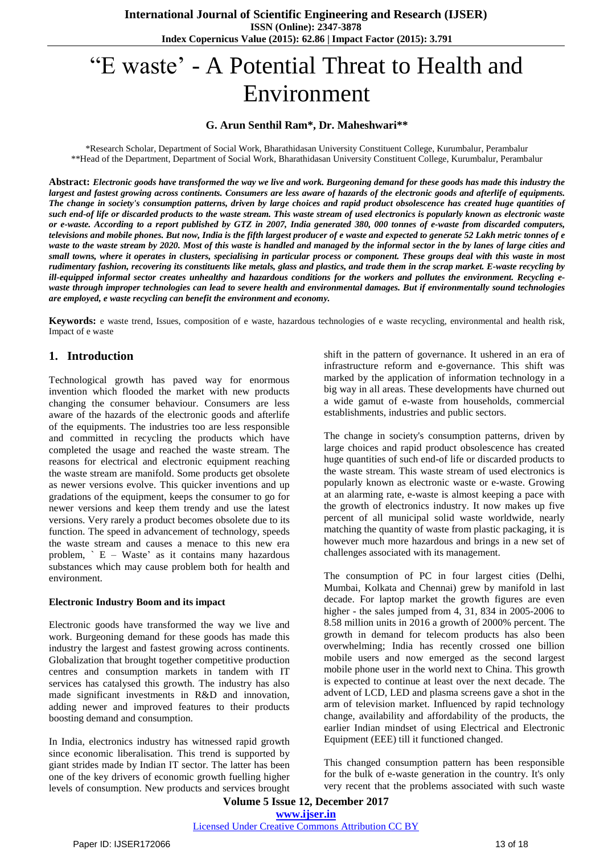# ―E waste' - A Potential Threat to Health and Environment

## **G. Arun Senthil Ram\*, Dr. Maheshwari\*\***

\*Research Scholar, Department of Social Work, Bharathidasan University Constituent College, Kurumbalur, Perambalur \*\*Head of the Department, Department of Social Work, Bharathidasan University Constituent College, Kurumbalur, Perambalur

Abstract: Electronic goods have transformed the way we live and work. Burgeoning demand for these goods has made this industry the largest and fastest growing across continents. Consumers are less aware of hazards of the electronic goods and afterlife of equipments. The change in society's consumption patterns, driven by large choices and rapid product obsolescence has created huge quantities of such end-of life or discarded products to the waste stream. This waste stream of used electronics is popularly known as electronic waste or e-waste. According to a report published by GTZ in 2007, India generated 380, 000 tonnes of e-waste from discarded computers, televisions and mobile phones. But now, India is the fifth largest producer of e waste and expected to generate 52 Lakh metric tonnes of e waste to the waste stream by 2020. Most of this waste is handled and managed by the informal sector in the by lanes of large cities and small towns, where it operates in clusters, specialising in particular process or component. These groups deal with this waste in most rudimentary fashion, recovering its constituents like metals, glass and plastics, and trade them in the scrap market. E-waste recycling by ill-equipped informal sector creates unhealthy and hazardous conditions for the workers and pollutes the environment. Recycling ewaste through improper technologies can lead to severe health and environmental damages. But if environmentally sound technologies *are employed, e waste recycling can benefit the environment and economy.*

**Keywords:** e waste trend, Issues, composition of e waste, hazardous technologies of e waste recycling, environmental and health risk, Impact of e waste

## **1. Introduction**

Technological growth has paved way for enormous invention which flooded the market with new products changing the consumer behaviour. Consumers are less aware of the hazards of the electronic goods and afterlife of the equipments. The industries too are less responsible and committed in recycling the products which have completed the usage and reached the waste stream. The reasons for electrical and electronic equipment reaching the waste stream are manifold. Some products get obsolete as newer versions evolve. This quicker inventions and up gradations of the equipment, keeps the consumer to go for newer versions and keep them trendy and use the latest versions. Very rarely a product becomes obsolete due to its function. The speed in advancement of technology, speeds the waste stream and causes a menace to this new era problem,  $\angle E - W$ aste' as it contains many hazardous substances which may cause problem both for health and environment.

#### **Electronic Industry Boom and its impact**

Electronic goods have transformed the way we live and work. Burgeoning demand for these goods has made this industry the largest and fastest growing across continents. Globalization that brought together competitive production centres and consumption markets in tandem with IT services has catalysed this growth. The industry has also made significant investments in R&D and innovation, adding newer and improved features to their products boosting demand and consumption.

In India, electronics industry has witnessed rapid growth since economic liberalisation. This trend is supported by giant strides made by Indian IT sector. The latter has been one of the key drivers of economic growth fuelling higher levels of consumption. New products and services brought shift in the pattern of governance. It ushered in an era of infrastructure reform and e-governance. This shift was marked by the application of information technology in a big way in all areas. These developments have churned out a wide gamut of e-waste from households, commercial establishments, industries and public sectors.

The change in society's consumption patterns, driven by large choices and rapid product obsolescence has created huge quantities of such end-of life or discarded products to the waste stream. This waste stream of used electronics is popularly known as electronic waste or e-waste. Growing at an alarming rate, e-waste is almost keeping a pace with the growth of electronics industry. It now makes up five percent of all municipal solid waste worldwide, nearly matching the quantity of waste from plastic packaging, it is however much more hazardous and brings in a new set of challenges associated with its management.

The consumption of PC in four largest cities (Delhi, Mumbai, Kolkata and Chennai) grew by manifold in last decade. For laptop market the growth figures are even higher - the sales jumped from 4, 31, 834 in 2005-2006 to 8.58 million units in 2016 a growth of 2000% percent. The growth in demand for telecom products has also been overwhelming; India has recently crossed one billion mobile users and now emerged as the second largest mobile phone user in the world next to China. This growth is expected to continue at least over the next decade. The advent of LCD, LED and plasma screens gave a shot in the arm of television market. Influenced by rapid technology change, availability and affordability of the products, the earlier Indian mindset of using Electrical and Electronic Equipment (EEE) till it functioned changed.

This changed consumption pattern has been responsible for the bulk of e-waste generation in the country. It's only very recent that the problems associated with such waste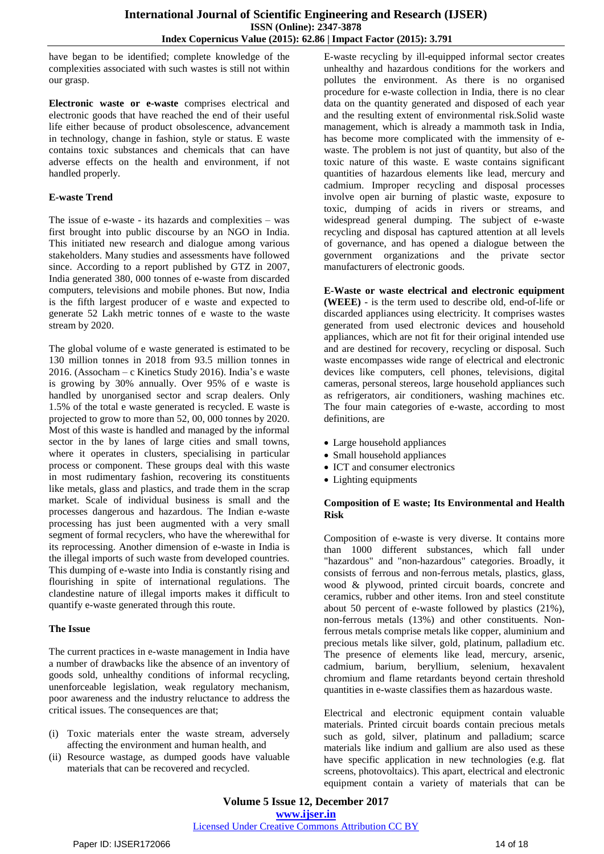have began to be identified; complete knowledge of the complexities associated with such wastes is still not within our grasp.

**Electronic waste or e-waste** comprises electrical and electronic goods that have reached the end of their useful life either because of product obsolescence, advancement in technology, change in fashion, style or status. E waste contains toxic substances and chemicals that can have adverse effects on the health and environment, if not handled properly.

## **E-waste Trend**

The issue of e-waste - its hazards and complexities – was first brought into public discourse by an NGO in India. This initiated new research and dialogue among various stakeholders. Many studies and assessments have followed since. According to a report published by GTZ in 2007, India generated 380, 000 tonnes of e-waste from discarded computers, televisions and mobile phones. But now, India is the fifth largest producer of e waste and expected to generate 52 Lakh metric tonnes of e waste to the waste stream by 2020.

The global volume of e waste generated is estimated to be 130 million tonnes in 2018 from 93.5 million tonnes in 2016. (Assocham – c Kinetics Study 2016). India's e waste is growing by 30% annually. Over 95% of e waste is handled by unorganised sector and scrap dealers. Only 1.5% of the total e waste generated is recycled. E waste is projected to grow to more than 52, 00, 000 tonnes by 2020. Most of this waste is handled and managed by the informal sector in the by lanes of large cities and small towns, where it operates in clusters, specialising in particular process or component. These groups deal with this waste in most rudimentary fashion, recovering its constituents like metals, glass and plastics, and trade them in the scrap market. Scale of individual business is small and the processes dangerous and hazardous. The Indian e-waste processing has just been augmented with a very small segment of formal recyclers, who have the wherewithal for its reprocessing. Another dimension of e-waste in India is the illegal imports of such waste from developed countries. This dumping of e-waste into India is constantly rising and flourishing in spite of international regulations. The clandestine nature of illegal imports makes it difficult to quantify e-waste generated through this route.

#### **The Issue**

The current practices in e-waste management in India have a number of drawbacks like the absence of an inventory of goods sold, unhealthy conditions of informal recycling, unenforceable legislation, weak regulatory mechanism, poor awareness and the industry reluctance to address the critical issues. The consequences are that;

- (i) Toxic materials enter the waste stream, adversely affecting the environment and human health, and
- (ii) Resource wastage, as dumped goods have valuable materials that can be recovered and recycled.

E-waste recycling by ill-equipped informal sector creates unhealthy and hazardous conditions for the workers and pollutes the environment. As there is no organised procedure for e-waste collection in India, there is no clear data on the quantity generated and disposed of each year and the resulting extent of environmental risk.Solid waste management, which is already a mammoth task in India, has become more complicated with the immensity of ewaste. The problem is not just of quantity, but also of the toxic nature of this waste. E waste contains significant quantities of hazardous elements like lead, mercury and cadmium. Improper recycling and disposal processes involve open air burning of plastic waste, exposure to toxic, dumping of acids in rivers or streams, and widespread general dumping. The subject of e-waste recycling and disposal has captured attention at all levels of governance, and has opened a dialogue between the government organizations and the private sector manufacturers of electronic goods.

**E-Waste or waste electrical and electronic equipment (WEEE)** - is the term used to describe old, end-of-life or discarded appliances using electricity. It comprises wastes generated from used electronic devices and household appliances, which are not fit for their original intended use and are destined for recovery, recycling or disposal. Such waste encompasses wide range of electrical and electronic devices like computers, cell phones, televisions, digital cameras, personal stereos, large household appliances such as refrigerators, air conditioners, washing machines etc. The four main categories of e-waste, according to most definitions, are

- Large household appliances
- Small household appliances
- ICT and consumer electronics
- Lighting equipments

## **Composition of E waste; Its Environmental and Health Risk**

Composition of e-waste is very diverse. It contains more than 1000 different substances, which fall under "hazardous" and "non-hazardous" categories. Broadly, it consists of ferrous and non-ferrous metals, plastics, glass, wood & plywood, printed circuit boards, concrete and ceramics, rubber and other items. Iron and steel constitute about 50 percent of e-waste followed by plastics (21%), non-ferrous metals (13%) and other constituents. Nonferrous metals comprise metals like copper, aluminium and precious metals like silver, gold, platinum, palladium etc. The presence of elements like lead, mercury, arsenic, cadmium, barium, beryllium, selenium, hexavalent chromium and flame retardants beyond certain threshold quantities in e-waste classifies them as hazardous waste.

Electrical and electronic equipment contain valuable materials. Printed circuit boards contain precious metals such as gold, silver, platinum and palladium; scarce materials like indium and gallium are also used as these have specific application in new technologies (e.g. flat screens, photovoltaics). This apart, electrical and electronic equipment contain a variety of materials that can be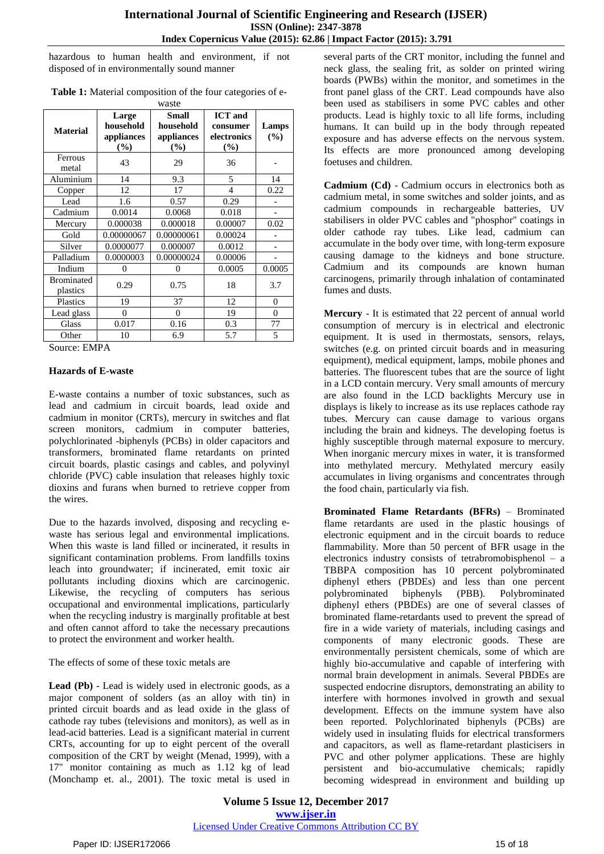hazardous to human health and environment, if not disposed of in environmentally sound manner

| Table 1: Material composition of the four categories of e- |  |
|------------------------------------------------------------|--|
| waste                                                      |  |

| <b>Material</b>               | Large<br>household<br>appliances<br>(%) | <b>Small</b><br>household<br>appliances<br>(%) | <b>ICT</b> and<br>consumer<br>electronics<br>(%) | Lamps<br>(%)   |
|-------------------------------|-----------------------------------------|------------------------------------------------|--------------------------------------------------|----------------|
| Ferrous<br>metal              | 43                                      | 29                                             | 36                                               |                |
| Aluminium                     | 14                                      | 9.3                                            | 5                                                | 14             |
| Copper                        | 12                                      | 17                                             | 4                                                | 0.22           |
| Lead                          | 1.6                                     | 0.57                                           | 0.29                                             |                |
| Cadmium                       | 0.0014                                  | 0.0068                                         | 0.018                                            |                |
| Mercury                       | 0.000038                                | 0.000018                                       | 0.00007                                          | 0.02           |
| Gold                          | 0.00000067                              | 0.00000061                                     | 0.00024                                          |                |
| Silver                        | 0.0000077                               | 0.000007                                       | 0.0012                                           |                |
| Palladium                     | 0.0000003                               | 0.00000024                                     | 0.00006                                          |                |
| Indium                        | 0                                       | 0                                              | 0.0005                                           | 0.0005         |
| <b>Brominated</b><br>plastics | 0.29                                    | 0.75                                           | 18                                               | 3.7            |
| Plastics                      | 19                                      | 37                                             | 12                                               | $\overline{0}$ |
| Lead glass                    | 0                                       | $\overline{0}$                                 | 19                                               | 0              |
| Glass                         | 0.017                                   | 0.16                                           | 0.3                                              | 77             |
| Other                         | 10                                      | 6.9                                            | 5.7                                              | 5              |

Source: EMPA

#### **Hazards of E-waste**

E-waste contains a number of toxic substances, such as lead and cadmium in circuit boards, lead oxide and cadmium in monitor (CRTs), mercury in switches and flat screen monitors, cadmium in computer batteries, polychlorinated -biphenyls (PCBs) in older capacitors and transformers, brominated flame retardants on printed circuit boards, plastic casings and cables, and polyvinyl chloride (PVC) cable insulation that releases highly toxic dioxins and furans when burned to retrieve copper from the wires.

Due to the hazards involved, disposing and recycling ewaste has serious legal and environmental implications. When this waste is land filled or incinerated, it results in significant contamination problems. From landfills toxins leach into groundwater; if incinerated, emit toxic air pollutants including dioxins which are carcinogenic. Likewise, the recycling of computers has serious occupational and environmental implications, particularly when the recycling industry is marginally profitable at best and often cannot afford to take the necessary precautions to protect the environment and worker health.

The effects of some of these toxic metals are

**Lead (Pb)** - Lead is widely used in electronic goods, as a major component of solders (as an alloy with tin) in printed circuit boards and as lead oxide in the glass of cathode ray tubes (televisions and monitors), as well as in lead-acid batteries. Lead is a significant material in current CRTs, accounting for up to eight percent of the overall composition of the CRT by weight (Menad, 1999), with a 17" monitor containing as much as 1.12 kg of lead (Monchamp et. al., 2001). The toxic metal is used in

several parts of the CRT monitor, including the funnel and neck glass, the sealing frit, as solder on printed wiring boards (PWBs) within the monitor, and sometimes in the front panel glass of the CRT. Lead compounds have also been used as stabilisers in some PVC cables and other products. Lead is highly toxic to all life forms, including humans. It can build up in the body through repeated exposure and has adverse effects on the nervous system. Its effects are more pronounced among developing foetuses and children.

**Cadmium (Cd)** - Cadmium occurs in electronics both as cadmium metal, in some switches and solder joints, and as cadmium compounds in rechargeable batteries, UV stabilisers in older PVC cables and "phosphor" coatings in older cathode ray tubes. Like lead, cadmium can accumulate in the body over time, with long-term exposure causing damage to the kidneys and bone structure. Cadmium and its compounds are known human carcinogens, primarily through inhalation of contaminated fumes and dusts.

**Mercury** - It is estimated that 22 percent of annual world consumption of mercury is in electrical and electronic equipment. It is used in thermostats, sensors, relays, switches (e.g. on printed circuit boards and in measuring equipment), medical equipment, lamps, mobile phones and batteries. The fluorescent tubes that are the source of light in a LCD contain mercury. Very small amounts of mercury are also found in the LCD backlights Mercury use in displays is likely to increase as its use replaces cathode ray tubes. Mercury can cause damage to various organs including the brain and kidneys. The developing foetus is highly susceptible through maternal exposure to mercury. When inorganic mercury mixes in water, it is transformed into methylated mercury. Methylated mercury easily accumulates in living organisms and concentrates through the food chain, particularly via fish.

**Brominated Flame Retardants (BFRs)** – Brominated flame retardants are used in the plastic housings of electronic equipment and in the circuit boards to reduce flammability. More than 50 percent of BFR usage in the electronics industry consists of tetrabromobisphenol – a TBBPA composition has 10 percent polybrominated diphenyl ethers (PBDEs) and less than one percent polybrominated biphenyls (PBB). Polybrominated diphenyl ethers (PBDEs) are one of several classes of brominated flame-retardants used to prevent the spread of fire in a wide variety of materials, including casings and components of many electronic goods. These are environmentally persistent chemicals, some of which are highly bio-accumulative and capable of interfering with normal brain development in animals. Several PBDEs are suspected endocrine disruptors, demonstrating an ability to interfere with hormones involved in growth and sexual development. Effects on the immune system have also been reported. Polychlorinated biphenyls (PCBs) are widely used in insulating fluids for electrical transformers and capacitors, as well as flame-retardant plasticisers in PVC and other polymer applications. These are highly persistent and bio-accumulative chemicals; rapidly becoming widespread in environment and building up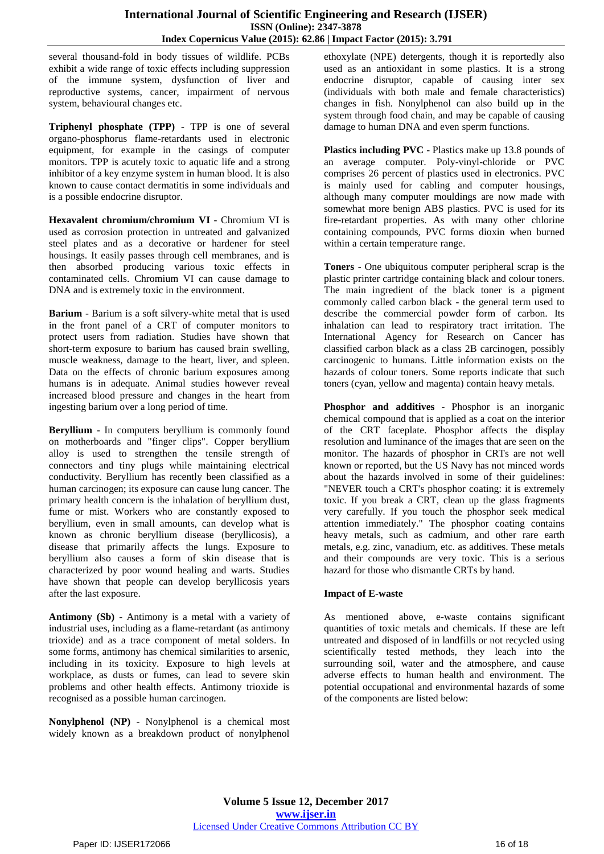several thousand-fold in body tissues of wildlife. PCBs exhibit a wide range of toxic effects including suppression of the immune system, dysfunction of liver and reproductive systems, cancer, impairment of nervous system, behavioural changes etc.

**Triphenyl phosphate (TPP)** - TPP is one of several organo-phosphorus flame-retardants used in electronic equipment, for example in the casings of computer monitors. TPP is acutely toxic to aquatic life and a strong inhibitor of a key enzyme system in human blood. It is also known to cause contact dermatitis in some individuals and is a possible endocrine disruptor.

**Hexavalent chromium/chromium VI** - Chromium VI is used as corrosion protection in untreated and galvanized steel plates and as a decorative or hardener for steel housings. It easily passes through cell membranes, and is then absorbed producing various toxic effects in contaminated cells. Chromium VI can cause damage to DNA and is extremely toxic in the environment.

**Barium** - Barium is a soft silvery-white metal that is used in the front panel of a CRT of computer monitors to protect users from radiation. Studies have shown that short-term exposure to barium has caused brain swelling, muscle weakness, damage to the heart, liver, and spleen. Data on the effects of chronic barium exposures among humans is in adequate. Animal studies however reveal increased blood pressure and changes in the heart from ingesting barium over a long period of time.

**Beryllium** - In computers beryllium is commonly found on motherboards and "finger clips". Copper beryllium alloy is used to strengthen the tensile strength of connectors and tiny plugs while maintaining electrical conductivity. Beryllium has recently been classified as a human carcinogen; its exposure can cause lung cancer. The primary health concern is the inhalation of beryllium dust, fume or mist. Workers who are constantly exposed to beryllium, even in small amounts, can develop what is known as chronic beryllium disease (beryllicosis), a disease that primarily affects the lungs. Exposure to beryllium also causes a form of skin disease that is characterized by poor wound healing and warts. Studies have shown that people can develop beryllicosis years after the last exposure.

**Antimony (Sb)** - Antimony is a metal with a variety of industrial uses, including as a flame-retardant (as antimony trioxide) and as a trace component of metal solders. In some forms, antimony has chemical similarities to arsenic, including in its toxicity. Exposure to high levels at workplace, as dusts or fumes, can lead to severe skin problems and other health effects. Antimony trioxide is recognised as a possible human carcinogen.

**Nonylphenol (NP)** - Nonylphenol is a chemical most widely known as a breakdown product of nonylphenol

ethoxylate (NPE) detergents, though it is reportedly also used as an antioxidant in some plastics. It is a strong endocrine disruptor, capable of causing inter sex (individuals with both male and female characteristics) changes in fish. Nonylphenol can also build up in the system through food chain, and may be capable of causing damage to human DNA and even sperm functions.

**Plastics including PVC** - Plastics make up 13.8 pounds of an average computer. Poly-vinyl-chloride or PVC comprises 26 percent of plastics used in electronics. PVC is mainly used for cabling and computer housings, although many computer mouldings are now made with somewhat more benign ABS plastics. PVC is used for its fire-retardant properties. As with many other chlorine containing compounds, PVC forms dioxin when burned within a certain temperature range.

**Toners** - One ubiquitous computer peripheral scrap is the plastic printer cartridge containing black and colour toners. The main ingredient of the black toner is a pigment commonly called carbon black - the general term used to describe the commercial powder form of carbon. Its inhalation can lead to respiratory tract irritation. The International Agency for Research on Cancer has classified carbon black as a class 2B carcinogen, possibly carcinogenic to humans. Little information exists on the hazards of colour toners. Some reports indicate that such toners (cyan, yellow and magenta) contain heavy metals.

**Phosphor and additives** - Phosphor is an inorganic chemical compound that is applied as a coat on the interior of the CRT faceplate. Phosphor affects the display resolution and luminance of the images that are seen on the monitor. The hazards of phosphor in CRTs are not well known or reported, but the US Navy has not minced words about the hazards involved in some of their guidelines: "NEVER touch a CRT's phosphor coating: it is extremely toxic. If you break a CRT, clean up the glass fragments very carefully. If you touch the phosphor seek medical attention immediately." The phosphor coating contains heavy metals, such as cadmium, and other rare earth metals, e.g. zinc, vanadium, etc. as additives. These metals and their compounds are very toxic. This is a serious hazard for those who dismantle CRTs by hand.

## **Impact of E-waste**

As mentioned above, e-waste contains significant quantities of toxic metals and chemicals. If these are left untreated and disposed of in landfills or not recycled using scientifically tested methods, they leach into the surrounding soil, water and the atmosphere, and cause adverse effects to human health and environment. The potential occupational and environmental hazards of some of the components are listed below: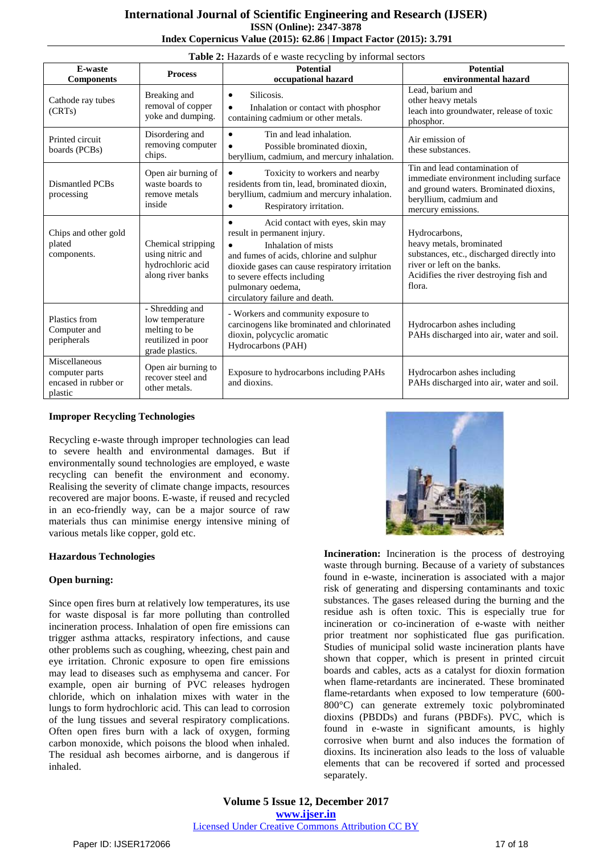## **International Journal of Scientific Engineering and Research (IJSER) ISSN (Online): 2347-3878 Index Copernicus Value (2015): 62.86 | Impact Factor (2015): 3.791**

| Table 2: Hazards of e waste recycling by informal sectors          |                                                                                              |                                                                                                                                                                                                                                                                                                      |                                                                                                                                                                             |  |  |  |
|--------------------------------------------------------------------|----------------------------------------------------------------------------------------------|------------------------------------------------------------------------------------------------------------------------------------------------------------------------------------------------------------------------------------------------------------------------------------------------------|-----------------------------------------------------------------------------------------------------------------------------------------------------------------------------|--|--|--|
| E-waste<br><b>Components</b>                                       | <b>Process</b>                                                                               | <b>Potential</b><br>occupational hazard                                                                                                                                                                                                                                                              | <b>Potential</b><br>environmental hazard                                                                                                                                    |  |  |  |
| Cathode ray tubes<br>(CRTs)                                        | Breaking and<br>removal of copper<br>yoke and dumping.                                       | Silicosis.<br>$\bullet$<br>Inhalation or contact with phosphor<br>$\bullet$<br>containing cadmium or other metals.                                                                                                                                                                                   | Lead, barium and<br>other heavy metals<br>leach into groundwater, release of toxic<br>phosphor.                                                                             |  |  |  |
| Printed circuit<br>boards (PCBs)                                   | Disordering and<br>removing computer<br>chips.                                               | Tin and lead inhalation.<br>$\bullet$<br>Possible brominated dioxin.<br>beryllium, cadmium, and mercury inhalation.                                                                                                                                                                                  | Air emission of<br>these substances.                                                                                                                                        |  |  |  |
| Dismantled PCBs<br>processing                                      | Open air burning of<br>waste boards to<br>remove metals<br>inside                            | Toxicity to workers and nearby<br>residents from tin, lead, brominated dioxin,<br>beryllium, cadmium and mercury inhalation.<br>Respiratory irritation.                                                                                                                                              | Tin and lead contamination of<br>immediate environment including surface<br>and ground waters. Brominated dioxins,<br>beryllium, cadmium and<br>mercury emissions.          |  |  |  |
| Chips and other gold<br>plated<br>components.                      | Chemical stripping<br>using nitric and<br>hydrochloric acid<br>along river banks             | Acid contact with eyes, skin may<br>$\bullet$<br>result in permanent injury.<br>Inhalation of mists<br>$\bullet$<br>and fumes of acids, chlorine and sulphur<br>dioxide gases can cause respiratory irritation<br>to severe effects including<br>pulmonary oedema,<br>circulatory failure and death. | Hydrocarbons,<br>heavy metals, brominated<br>substances, etc., discharged directly into<br>river or left on the banks.<br>Acidifies the river destroying fish and<br>flora. |  |  |  |
| Plastics from<br>Computer and<br>peripherals                       | - Shredding and<br>low temperature<br>melting to be<br>reutilized in poor<br>grade plastics. | - Workers and community exposure to<br>carcinogens like brominated and chlorinated<br>dioxin, polycyclic aromatic<br>Hydrocarbons (PAH)                                                                                                                                                              | Hydrocarbon ashes including<br>PAHs discharged into air, water and soil.                                                                                                    |  |  |  |
| Miscellaneous<br>computer parts<br>encased in rubber or<br>plastic | Open air burning to<br>recover steel and<br>other metals.                                    | Exposure to hydrocarbons including PAHs<br>and dioxins.                                                                                                                                                                                                                                              | Hydrocarbon ashes including<br>PAHs discharged into air, water and soil.                                                                                                    |  |  |  |

## **Improper Recycling Technologies**

Recycling e-waste through improper technologies can lead to severe health and environmental damages. But if environmentally sound technologies are employed, e waste recycling can benefit the environment and economy. Realising the severity of climate change impacts, resources recovered are major boons. E-waste, if reused and recycled in an eco-friendly way, can be a major source of raw materials thus can minimise energy intensive mining of various metals like copper, gold etc.

#### **Hazardous Technologies**

#### **Open burning:**

Since open fires burn at relatively low temperatures, its use for waste disposal is far more polluting than controlled incineration process. Inhalation of open fire emissions can trigger asthma attacks, respiratory infections, and cause other problems such as coughing, wheezing, chest pain and eye irritation. Chronic exposure to open fire emissions may lead to diseases such as emphysema and cancer. For example, open air burning of PVC releases hydrogen chloride, which on inhalation mixes with water in the lungs to form hydrochloric acid. This can lead to corrosion of the lung tissues and several respiratory complications. Often open fires burn with a lack of oxygen, forming carbon monoxide, which poisons the blood when inhaled. The residual ash becomes airborne, and is dangerous if inhaled.



**Incineration:** Incineration is the process of destroying waste through burning. Because of a variety of substances found in e-waste, incineration is associated with a major risk of generating and dispersing contaminants and toxic substances. The gases released during the burning and the residue ash is often toxic. This is especially true for incineration or co-incineration of e-waste with neither prior treatment nor sophisticated flue gas purification. Studies of municipal solid waste incineration plants have shown that copper, which is present in printed circuit boards and cables, acts as a catalyst for dioxin formation when flame-retardants are incinerated. These brominated flame-retardants when exposed to low temperature (600- 800°C) can generate extremely toxic polybrominated dioxins (PBDDs) and furans (PBDFs). PVC, which is found in e-waste in significant amounts, is highly corrosive when burnt and also induces the formation of dioxins. Its incineration also leads to the loss of valuable elements that can be recovered if sorted and processed separately.